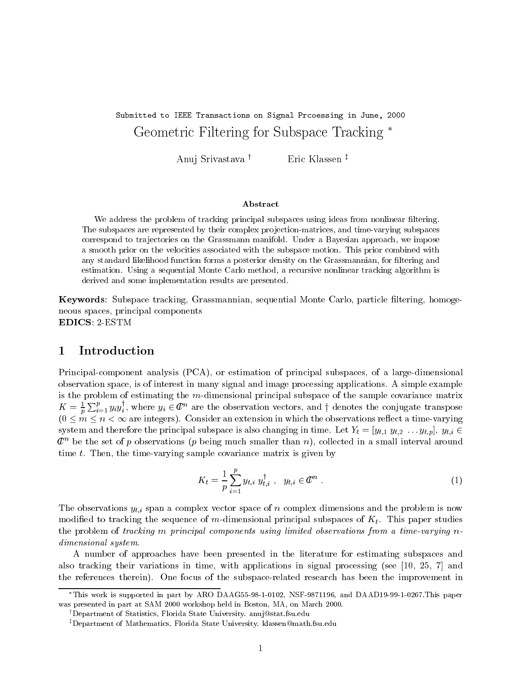# Submitted to IEEE Transactions on Signal Prcoessing in June, <sup>2000</sup> Geometric Filtering for Subspace Tracking

Anuj Srivastava <sup>†</sup> Eric Klassen <sup>‡</sup>

#### Abstract

We address the problem of tracking principal subspaces using ideas from nonlinear filtering. The subspaces are represented by their complex projection-matrices, and time-varying subspaces correspond to tra jectories on the Grassmann manifold. Under a Bayesian approach, we impose a smooth prior on the velocities associated with the subspace motion. This prior combined with any standard likelihood function forms a posterior density on the Grassmannian, for filtering and estimation. Using a sequential Monte Carlo method, a recursive nonlinear tracking algorithm is derived and some implementation results are presented.

Keywords: Subspace tracking, Grassmannian, sequential Monte Carlo, particle ltering, homogeneous spaces, principal components EDICS: 2-ESTM

## 1 Introduction

Principal-component analysis (PCA), or estimation of principal subspaces, of a large-dimensional observation space, is of interest in many signal and image processing applications. A simple example is the problem of estimating the m-dimensional principal subspace of the sample covariance matrix  $K=\frac{1}{p}\sum_{i=1}^p y_iy_i^{\dagger}$ , where  $y_i \in \mathcal{C}^n$  are the observation vectors, and † denotes the conjugate transpose  $(0 \leq m \leq n < \infty$  are integers). Consider an extension in which the observations reflect a time-varying system and therefore the principal subspace is also changing in time. Let  $Y_t = [y_{t,1} y_{t,2} \dots y_{t,p}], y_{t,i} \in$  $\mathbb{C}^n$  be the set of p observations (p being much smaller than n), collected in a small interval around time t. Then, the time-varying sample covariance matrix is given by

$$
K_t = \frac{1}{p} \sum_{i=1}^p y_{t,i} \ y_{t,i}^{\dagger} \ , \ \ y_{t,i} \in \mathcal{C}^n \ . \tag{1}
$$

The observations  $y_{t,i}$  span a complex vector space of n complex dimensions and the problem is now modified to tracking the sequence of m-dimensional principal subspaces of  $K_t$ . This paper studies the problem of tracking m principal components using limited observations from a time-varying ndimensional system.

A number of approaches have been presented in the literature for estimating subspaces and also tracking their variations in time, with applications in signal processing (see [10, 25, 7] and the references therein). One focus of the subspace-related research has been the improvement in

This work is supported in part by ARO DAAG55-98-1-0102, NSF-9871196, and DAAD19-99-1-0267.This paper was presented in part at SAM 2000 workshop held in Boston, MA, on March 2000.

<sup>&</sup>lt;sup>†</sup>Department of Statistics, Florida State University. anuj@stat.fsu.edu

<sup>&</sup>lt;sup>‡</sup>Department of Mathematics, Florida State University. klassen@math.fsu.edu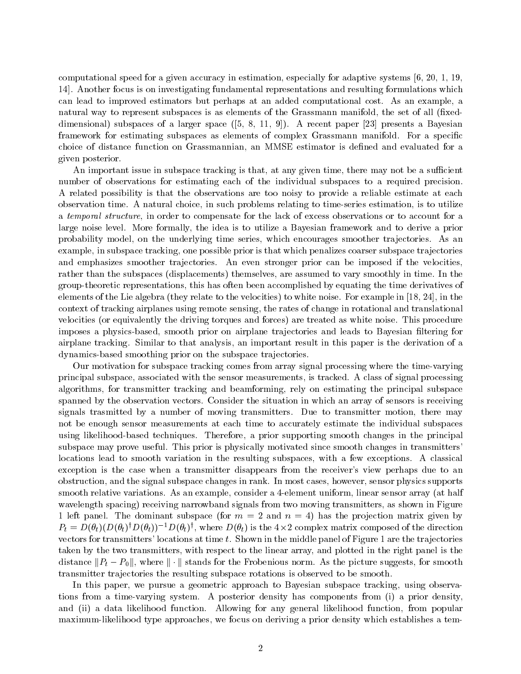computational speed for a given accuracy in estimation, especially for adaptive systems [6, 20, 1, 19, 14]. Another focus is on investigating fundamental representations and resulting formulations which can lead to improved estimators but perhaps at an added computational cost. As an example, a natural way to represent subspaces is as elements of the Grassmann manifold, the set of all (fixeddimensional) subspaces of a larger space  $([5, 8, 11, 9])$ . A recent paper [23] presents a Bayesian framework for estimating subspaces as elements of complex Grassmann manifold. For a specific choice of distance function on Grassmannian, an MMSE estimator is defined and evaluated for a given posterior.

An important issue in subspace tracking is that, at any given time, there may not be a sufficient number of observations for estimating each of the individual subspaces to a required precision. A related possibility is that the observations are too noisy to provide a reliable estimate at each observation time. A natural choice, in such problems relating to time-series estimation, is to utilize a temporal structure, in order to compensate for the lack of excess observations or to account for a large noise level. More formally, the idea is to utilize a Bayesian framework and to derive a prior probability model, on the underlying time series, which encourages smoother trajectories. As an example, in subspace tracking, one possible prior is that which penalizes coarser subspace tra jectories and emphasizes smoother trajectories. An even stronger prior can be imposed if the velocities, rather than the subspaces (displacements) themselves, are assumed to vary smoothly in time. In the group-theoretic representations, this has often been accomplished by equating the time derivatives of elements of the Lie algebra (they relate to the velocities) to white noise. For example in [18, 24], in the context of tracking airplanes using remote sensing, the rates of change in rotational and translational velocities (or equivalently the driving torques and forces) are treated as white noise. This procedure imposes a physics-based, smooth prior on airplane trajectories and leads to Bayesian filtering for airplane tracking. Similar to that analysis, an important result in this paper is the derivation of a dynamics-based smoothing prior on the subspace trajectories.

Our motivation for subspace tracking comes from array signal processing where the time-varying principal subspace, associated with the sensor measurements, is tracked. A class of signal processing algorithms, for transmitter tracking and beamforming, rely on estimating the principal subspace spanned by the observation vectors. Consider the situation in which an array of sensors is receiving signals trasmitted by a number of moving transmitters. Due to transmitter motion, there may not be enough sensor measurements at each time to accurately estimate the individual subspaces using likelihood-based techniques. Therefore, a prior supporting smooth changes in the principal subspace may prove useful. This prior is physically motivated since smooth changes in transmitters' locations lead to smooth variation in the resulting subspaces, with a few exceptions. A classical exception is the case when a transmitter disappears from the receiver's view perhaps due to an obstruction, and the signal subspace changes in rank. In most cases, however, sensor physics supports smooth relative variations. As an example, consider a 4-element uniform, linear sensor array (at half wavelength spacing) receiving narrowband signals from two moving transmitters, as shown in Figure 1 left panel. The dominant subspace (for  $m = 2$  and  $n = 4$ ) has the projection matrix given by  $P_t = D(\theta_t) (D(\theta_t)^\top D(\theta_t))^{-1} D(\theta_t)^\top$ , where  $D(\theta_t)$  is the 4×2 complex matrix composed of the direction vectors for transmitters' locations at time t. Shown in the middle panel of Figure 1 are the tra jectories taken by the two transmitters, with respect to the linear array, and plotted in the right panel is the distance  $||P_t - P_0||$ , where  $|| \cdot ||$  stands for the Frobenious norm. As the picture suggests, for smooth transmitter tra jectories the resulting subspace rotations is observed to be smooth.

In this paper, we pursue a geometric approach to Bayesian subspace tracking, using observations from a time-varying system. A posterior density has components from (i) aprior density, and (ii) a data likelihood function. Allowing for any general likelihood function, from popular maximum-likelihood type approaches, we focus on deriving a prior density which establishes a tem-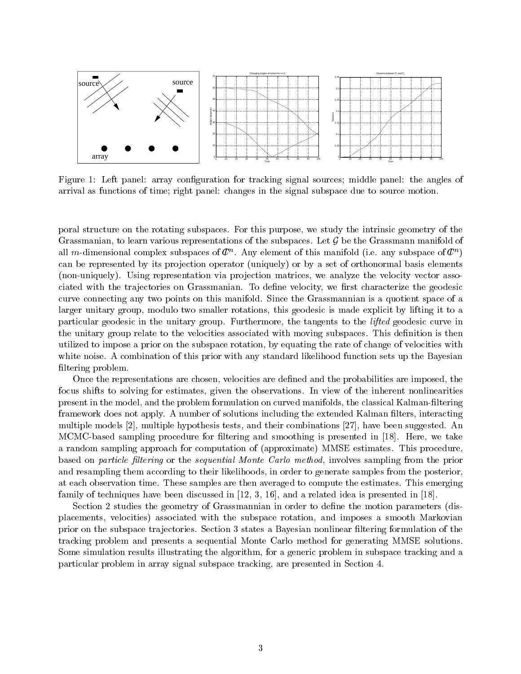

Figure 1: Left panel: array configuration for tracking signal sources; middle panel: the angles of arrival as functions of time; right panel: changes in the signal subspace due to source motion.

poral structure on the rotating subspaces. For this purpose, we study the intrinsic geometry of the Grassmanian, to learn various representations of the subspaces. Let  $\mathcal G$  be the Grassmann manifold of all  $m$ -dimensional complex subspaces of  $\pmb{\psi}$  . Any element of this manifold (i.e. any subspace of  $\pmb{\psi}$  ) can be represented by its projection operator (uniquely) or by a set of orthonormal basis elements (non-uniquely). Using representation via projection matrices, we analyze the velocity vector associated with the trajectories on Grassmanian. To define velocity, we first characterize the geodesic curve connecting any two points on this manifold. Since the Grassmannian is a quotient space of a larger unitary group, modulo two smaller rotations, this geodesic is made explicit by lifting it to a particular geodesic in the unitary group. Furthermore, the tangents to the lifted geodesic curve in the unitary group relate to the velocities associated with moving subspaces. This definition is then utilized to impose a prior on the subspace rotation, by equating the rate of change of velocities with white noise. A combination of this prior with any standard likelihood function sets up the Bayesian filtering problem.

Once the representations are chosen, velocities are dened and the probabilities are imposed, the focus shifts to solving for estimates, given the observations. In view of the inherent nonlinearities present in the model, and the problem formulation on curved manifolds, the classical Kalman-ltering framework does not apply. A number of solutions including the extended Kalman filters, interacting multiple models [2], multiple hypothesis tests, and their combinations [27], have been suggested. An MCMC-based sampling procedure for ltering and smoothing is presented in [18]. Here, we take a random sampling approach for computation of (approximate) MMSE estimates. This procedure, based on particle ltering or the sequential Monte Carlo method, involves sampling from the prior and resampling them according to their likelihoods, in order to generate samples from the posterior, at each observation time. These samples are then averaged to compute the estimates. This emerging family of techniques have been discussed in [12, 3, 16], and a related idea is presented in [18].

Section 2 studies the geometry of Grassmannian in order to define the motion parameters (displacements, velocities) associated with the subspace rotation, and imposes a smooth Markovian prior on the subspace trajectories. Section 3 states a Bayesian nonlinear filtering formulation of the tracking problem andpresents a sequential Monte Carlo method for generating MMSE solutions. Some simulation results illustrating the algorithm, for a generic problem in subspace tracking and a particular problem in array signal subspace tracking, are presented in Section 4.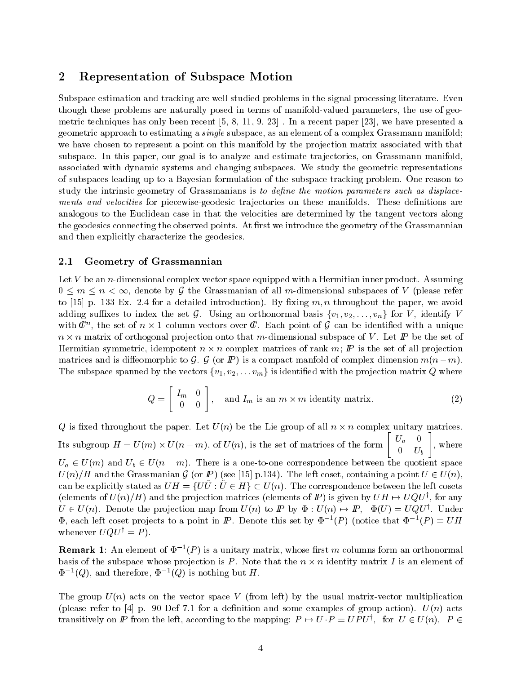#### $\overline{2}$ 2 Representation of Subspace Motion

Subspace estimation and tracking are well studied problems in the signal processing literature. Even though these problems are naturally posed in terms of manifold-valued parameters, the use of geometric techniques has only been recent [5, 8, 11, 9, 23] . In a recent paper [23], we have presented a geometric approach to estimating a single subspace, as an element of a complex Grassmann manifold; we have chosen to represent a point on this manifold by the projection matrix associated with that subspace. In this paper, our goal is to analyze and estimate trajectories, on Grassmann manifold, associated with dynamic systems and changing subspaces. We study the geometric representations of subspaces leading up to a Bayesian formulation of the subspace tracking problem. One reason to study the intrinsic geometry of Grassmanians is to define the motion parameters such as displacements and velocities for piecewise-geodesic trajectories on these manifolds. These definitions are analogous to the Euclidean case in that the velocities are determined by the tangent vectors along the geodesics connecting the observed points. At first we introduce the geometry of the Grassmannian and then explicitly characterize the geodesics.

## 2.1 Geometry of Grassmannian

Let  $V$  be an *n*-dimensional complex vector space equipped with a Hermitian inner product. Assuming  $0 \leq m \leq n \leq \infty$ , denote by G the Grassmanian of all m-dimensional subspaces of V (please refer to [15] p. 133 Ex. 2.4 for a detailed introduction). By fixing  $m, n$  throughout the paper, we avoid adding suffixes to index the set G. Using an orthonormal basis  $\{v_1, v_2, \ldots, v_n\}$  for V, identify V with  $\mathbb{C}^n$ , the set of  $n \times 1$  column vectors over  $\mathbb{C}$ . Each point of G can be identified with a unique  $n \times n$  matrix of orthogonal projection onto that  $m$ -dimensional subspace of V. Let  $I\!\!P$  be the set of Hermitian symmetric, idempotent  $n \times n$  complex matrices of rank  $m;$  If is the set of all projection matrices and is diffeomorphic to G. G (or  $\mathbb{P}$ ) is a compact manfold of complex dimension  $m(n-m)$ . The subspace spanned by the vectors  $\{v_1, v_2, \ldots v_m\}$  is identified with the projection matrix Q where

$$
Q = \begin{bmatrix} I_m & 0 \\ 0 & 0 \end{bmatrix}, \text{ and } I_m \text{ is an } m \times m \text{ identity matrix.}
$$
 (2)

 $Q$  is fixed throughout the paper. Let  $U(n)$  be the Lie group of all  $n \times n$  complex unitary matrices.  $\text{Its subgroup } H = U(m) \times U(n-m), \text{ of } U(n), \text{ is the set of matrices of the form } \left[ \begin{array}{cc} U_a & 0 \ 0 & U_b \end{array} \right], \text{ where }$  $U_a \in U(m)$  and  $U_b \in U(n-m)$ . There is a one-to-one correspondence between the quotient space  $U(n)/H$  and the Grassmanian G (or P) (see [15] p.134). The left coset, containing a point  $U \in U(n)$ , can be explicitly stated as  $UH = \{UU : U\in H\}\subset U(n).$  The correspondence between the left cosets (elements of  $U(n)/H$ ) and the projection matrices (elements of  $I\!\!P$ ) is given by  $UH \mapsto UQU^{\dagger}$ , for any  $U \in U(n)$ . Denote the projection map from  $U(n)$  to  $I\!\!P$  by  $\Phi: U(n) \mapsto I\!\!P$ ,  $\Phi(U) = UQU'$ . Under  $\Psi$ , each left coset projects to a point in IP. Denote this set by  $\Psi^{-1}(P)$  (notice that  $\Psi^{-1}(P) \equiv UH$ whenever  $UQU^{\dagger} = P$ ).

**Remark 1:** An element of  $\Psi^{-}(F)$  is a unitary matrix, whose first m columns form an orthonormal basis of the subspace whose projection is P. Note that the  $n \times n$  identity matrix I is an element of  $\Psi^{-1}(Q)$ , and therefore,  $\Psi^{-1}(Q)$  is nothing but  $H$ .

The group  $U(n)$  acts on the vector space V (from left) by the usual matrix-vector multiplication (please refer to [4] p. 90 Def 7.1 for a definition and some examples of group action).  $U(n)$  acts transitively on P from the left, according to the mapping:  $P \mapsto U \cdot P \equiv U P U^{\dagger}$ , for  $U \in U(n)$ ,  $P \in$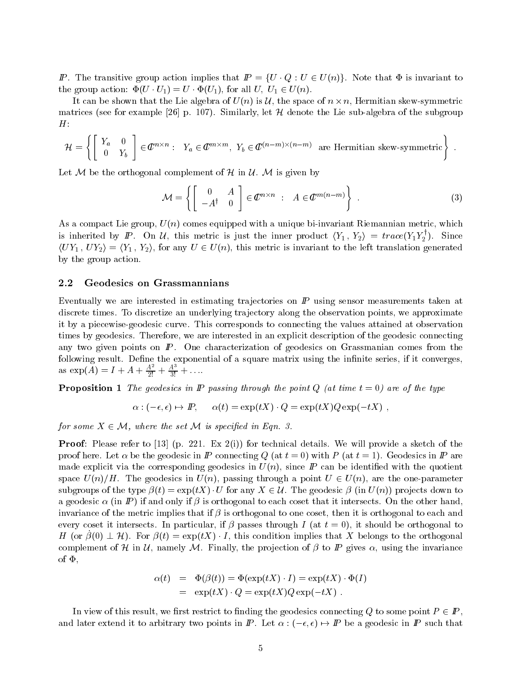**IP**. The transitive group action implies that  $\mathbb{P} = \{U \cdot Q : U \in U(n)\}\)$ . Note that  $\Phi$  is invariant to the group action:  $\Phi(U \cdot U_1) = U \cdot \Phi(U_1)$ , for all  $U, U_1 \in U(n)$ .

It can be shown that the Lie algebra of  $U(n)$  is  $\mathcal U$ , the space of  $n \times n$ , Hermitian skew-symmetric matrices (see for example [26] p. 107). Similarly, let  $H$  denote the Lie sub-algebra of the subgroup  $H$ :

$$
\mathcal{H} = \left\{ \left[ \begin{array}{cc} Y_a & 0 \\ 0 & Y_b \end{array} \right] \in \mathcal{C}^{n \times n} : \quad Y_a \in \mathcal{C}^{m \times m}, \ Y_b \in \mathcal{C}^{(n-m) \times (n-m)} \quad \text{are Hermitian skew-symmetric} \right\} \ .
$$

Let M be the orthogonal complement of  $\mathcal H$  in  $\mathcal U$ . M is given by

$$
\mathcal{M} = \left\{ \begin{bmatrix} 0 & A \\ -A^{\dagger} & 0 \end{bmatrix} \in \mathbb{C}^{n \times n} : A \in \mathbb{C}^{m(n-m)} \right\} .
$$
 (3)

As a compact Lie group,  $U(n)$  comes equipped with a unique bi-invariant Riemannian metric, which is inherited by  $I\!\!P$ . On  $\mathcal U,$  this metric is just the inner product  $\langle Y_1 \, , \, Y_2 \rangle \, = \, trace(Y_1 Y_2^{\dagger})$ . Since  $\langle UY_1, UV_2 \rangle = \langle Y_1, Y_2 \rangle$ , for any  $U \in U(n)$ , this metric is invariant to the left translation generated by the group action.

## 2.2 Geodesics on Grassmannians

Eventually we are interested in estimating trajectories on  $\mathbb P$  using sensor measurements taken at discrete times. To discretize an underlying trajectory along the observation points, we approximate it by a piecewise-geodesic curve. This corresponds to connecting the values attained at observation times by geodesics. Therefore, we are interested in an explicit description of the geodesic connecting any two given points on IP . One characterization of geodesics on Grassmanian comes from the as  $\exp(A) = I + A + \frac{A^2}{2!} + \frac{A^3}{3!} + \dots$ 

**Proposition 1** The geodesics in  $\mathbb{P}$  passing through the point Q (at time  $t=0$ ) are of the type

$$
\alpha : (-\epsilon, \epsilon) \mapsto I\!\!P, \qquad \alpha(t) = \exp(tX) \cdot Q = \exp(tX)Q \exp(-tX) ,
$$

for some  $X \in \mathcal{M}$ , where the set M is specified in Eqn. 3.

**Proof:** Please refer to [13] (p. 221. Ex 2(i)) for technical details. We will provide a sketch of the proof here. Let  $\alpha$  be the geodesic in P connecting Q (at  $t = 0$ ) with P (at  $t = 1$ ). Geodesics in P are made explicit via the corresponding geodesics in  $U(n)$ , since  $\mathbb P$  can be identified with the quotient space  $U(n)/H$ . The geodesics in  $U(n)$ , passing through a point  $U \in U(n)$ , are the one-parameter subgroups of the type  $\beta(t) = \exp(tX) \cdot U$  for any  $X \in \mathcal{U}$ . The geodesic  $\beta$  (in  $U(n)$ ) projects down to a geodesic  $\alpha$  (in P) if and only if  $\beta$  is orthogonal to each coset that it intersects. On the other hand, invariance of the metric implies that if  $\beta$  is orthogonal to one coset, then it is orthogonal to each and every coset it intersects. In particular, if  $\beta$  passes through I (at  $t=0$ ), it should be orthogonal to H (or  $\beta(0) \perp \mathcal{H}$ ). For  $\beta(t) = \exp(tX) \cdot I$ , this condition implies that X belongs to the orthogonal complement of H in U, namely M. Finally, the projection of  $\beta$  to  $\mathbb P$  gives  $\alpha$ , using the invariance of  $\Phi$ ,

$$
\alpha(t) = \Phi(\beta(t)) = \Phi(\exp(tX) \cdot I) = \exp(tX) \cdot \Phi(I)
$$
  
= 
$$
\exp(tX) \cdot Q = \exp(tX)Q \exp(-tX).
$$

In view of this result, we first restrict to finding the geodesics connecting Q to some point  $P \in \mathbb{P}$ , and later extend it to arbitrary two points in  $\mathbb{P}$ . Let  $\alpha: (-\epsilon, \epsilon) \mapsto \mathbb{P}$  be a geodesic in  $\mathbb{P}$  such that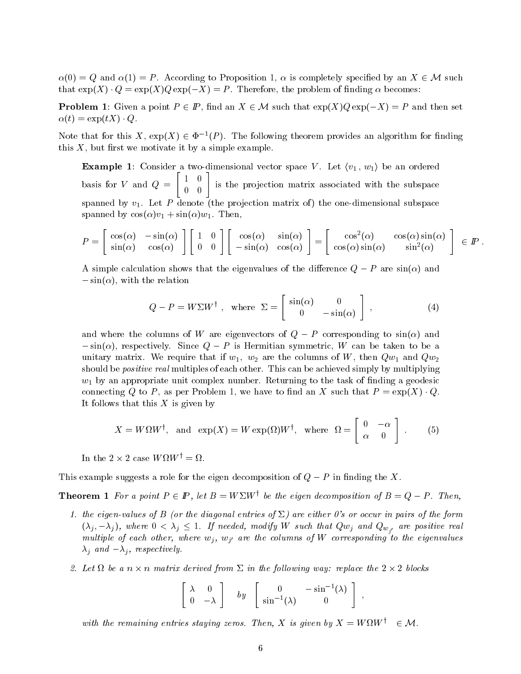$\alpha(0) = Q$  and  $\alpha(1) = P$ . According to Proposition 1,  $\alpha$  is completely specified by an  $X \in \mathcal{M}$  such that  $\exp(X) \cdot Q = \exp(X)Q \exp(-X) = P$ . Therefore, the problem of finding  $\alpha$  becomes:

**Problem 1**: Given a point  $P \in \mathbb{P}$ , find an  $X \in \mathcal{M}$  such that  $\exp(X)Q \exp(-X) = P$  and then set  $\alpha(t) = \exp(tX) \cdot Q.$ 

Note that for this X,  $\exp(X) \in \Phi^{-1}(P)$ . The following theorem provides an algorithm for finding this  $X$ , but first we motivate it by a simple example.

**Example 1:** Consider a two-dimensional vector space V. Let  $\langle v_1, w_1 \rangle$  be an ordered basis for  $\mathbb{R}^n$  and  $\mathbb{R}^n$  and  $\mathbb{R}^n$  and  $\mathbb{R}^n$  and  $\mathbb{R}^n$  and  $\mathbb{R}^n$  and  $\mathbb{R}^n$  and  $\mathbb{R}^n$  and  $\mathbb{R}^n$  and  $\mathbb{R}^n$  and  $\mathbb{R}^n$  and  $\mathbb{R}^n$  and  $\mathbb{R}^n$  and  $\mathbb{R}^n$  and " 1 0  $\begin{bmatrix} 1 & 0 \\ 0 & 0 \end{bmatrix}$  is the projection matrix associated with the subspace spanned by  $v_1$ . Let P denote (the projection matrix of) the one-dimensional subspace spanned by  $cos(\alpha)v_1 + sin(\alpha)w_1$ . Then,

$$
P = \begin{bmatrix} \cos(\alpha) & -\sin(\alpha) \\ \sin(\alpha) & \cos(\alpha) \end{bmatrix} \begin{bmatrix} 1 & 0 \\ 0 & 0 \end{bmatrix} \begin{bmatrix} \cos(\alpha) & \sin(\alpha) \\ -\sin(\alpha) & \cos(\alpha) \end{bmatrix} = \begin{bmatrix} \cos^2(\alpha) & \cos(\alpha)\sin(\alpha) \\ \cos(\alpha)\sin(\alpha) & \sin^2(\alpha) \end{bmatrix} \in I\!\!P.
$$

A simple calculation shows that the eigenvalues of the difference  $Q - P$  are  $sin(\alpha)$  and  $=$  sin( $\alpha$ ), with the relation

$$
Q - P = W\Sigma W^{\dagger} , \text{ where } \Sigma = \begin{bmatrix} \sin(\alpha) & 0 \\ 0 & -\sin(\alpha) \end{bmatrix} ,
$$
 (4)

and where the columns of W are eigenvectors of  $Q - P$  corresponding to  $sin(\alpha)$  and  $=$  sin( $\alpha$ ), respectively. Since  $\omega$   $=$   $\iota$  is fiermitian symmetric,  $w$  can be taken to be a unitary matrix. We require that if  $w_1$ ,  $w_2$  are the columns of W, then  $Qw_1$  and  $Qw_2$ should be *positive real* multiples of each other. This can be achieved simply by multiplying  $w_1$  by an appropriate unit complex number. Returning to the task of finding a geodesic connecting Q to P, as per Problem 1, we have to find an X such that  $P = \exp(X) \cdot Q$ . It follows that this  $X$  is given by

$$
X = W\Omega W^{\dagger}, \text{ and } \exp(X) = W \exp(\Omega) W^{\dagger}, \text{ where } \Omega = \begin{bmatrix} 0 & -\alpha \\ \alpha & 0 \end{bmatrix} . \tag{5}
$$

In the  $2 \times 2$  case  $W \Omega W^+ = \Omega$ .

This example suggests a role for the eigen decomposition of  $Q - P$  in finding the X.

**Theorem 1** For a point  $P \in \mathbb{P}$ , let  $B = W\Sigma W^{\dagger}$  be the eigen decomposition of  $B = Q - P$ . Then,

- 1. the eigen-values of B (or the diagonal entries of  $\Sigma$ ) are either 0's or occur in pairs of the form  $(\lambda_i, -\lambda_i)$ , where  $0 < \lambda_j \leq 1$ . If needed, modify W such that  $Qw_j$  and  $Q_{w_{j'}}$  are positive real multiple of each other, where  $w_j$ ,  $w_{j'}$  are the columns of W corresponding to the eigenvalues  $\lambda_i$  and  $-\lambda_i$ , respectively.
- 2. Let  $\Omega$  be a  $n \times n$  matrix derived from  $\Sigma$  in the following way: replace the 2  $\times$  2 blocks

$$
\left[\begin{array}{cc} \lambda & 0 \\ 0 & -\lambda \end{array}\right] \quad by \quad \left[\begin{array}{cc} 0 & -\sin^{-1}(\lambda) \\ \sin^{-1}(\lambda) & 0 \end{array}\right] \ ,
$$

with the remaining entries staying zeros. Then, X is given by  $X = W\Omega W^{\dagger} \in \mathcal{M}$ .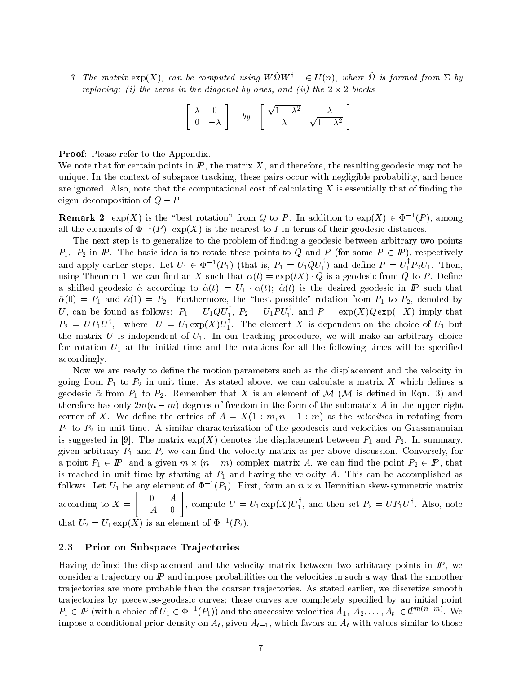3. The matrix  $\exp(X)$ , can be computed using  $W\Omega W^+ \in U(n)$ , where  $\Omega$  is formed from  $\Sigma$  by replacing: (i) the zeros in the diagonal by ones, and (ii) the  $2 \times 2$  blocks

$$
\left[\begin{array}{cc} \lambda & 0 \\ 0 & -\lambda \end{array}\right] \quad by \quad \left[\begin{array}{cc} \sqrt{1-\lambda^2} & -\lambda \\ \lambda & \sqrt{1-\lambda^2} \end{array}\right] \ .
$$

Proof: Please refer to the Appendix.

We note that for certain points in  $\mathbb{P}$ , the matrix X, and therefore, the resulting geodesic may not be unique. In the context of subspace tracking, these pairs occur with negligible probability, and hence are ignored. Also, note that the computational cost of calculating  $X$  is essentially that of finding the eigen-decomposition of  $Q - P$ .

**Remark 2:** exp(X) is the "best rotation" from Q to P. In addition to  $\exp(X) \in \Phi^{-1}(P)$ , among all the elements of  $\Psi^-(F)$ , exp( $\Lambda$ ) is the nearest to I in terms of their geodesic distances.

The next step is to generalize to the problem of finding a geodesic between arbitrary two points  $P_1$ ,  $P_2$  in  $\mathbb P$ . The basic idea is to rotate these points to Q and P (for some  $P \in \mathbb P$ ), respectively and apply earlier steps. Let  $U_1 \in \Phi^{-1}(P_1)$  (that is,  $P_1 = U_1 Q U_1'$ ) and define  $P = U_1 P_2 U_1$ . Then, using Theorem 1, we can find an X such that  $\alpha(t) = \exp(tX) \cdot Q$  is a geodesic from Q to P. Define a shifted geodesic  $\tilde{\alpha}$  according to  $\tilde{\alpha}(t) = U_1 \cdot \alpha(t); \tilde{\alpha}(t)$  is the desired geodesic in  $\tilde{I}$  such that  $~\tilde{\alpha}(0) = P_1$  and  $~\tilde{\alpha}(1) = P_2$ . Furthermore, the "best possible" rotation from  $P_1$  to  $P_2$ , denoted by U, can be found as follows:  $P_1 = U_1QU_1$ ,  $P_2 = U_1PU_1$ , and  $P = \exp(X)Q \exp(-X)$  imply that  $P_2 = U P_1 U$ , where  $U = U_1 \exp(X) U_1$ . The element X is dependent on the choice of  $U_1$  but the matrix  $U$  is independent of  $U_1$ . In our tracking procedure, we will make an arbitrary choice for rotation  $U_1$  at the initial time and the rotations for all the following times will be specified accordingly.

Now we are ready to define the motion parameters such as the displacement and the velocity in going from  $P_1$  to  $P_2$  in unit time. As stated above, we can calculate a matrix X which defines a geodesic  $\tilde{\alpha}$  from  $P_1$  to  $P_2$ . Remember that X is an element of M (M is defined in Eqn. 3) and therefore has only  $2m(n-m)$  degrees of freedom in the form of the submatrix A in the upper-right corner of X. We define the entries of  $A = X(1:m, n+1:m)$  as the velocities in rotating from  $P_1$  to  $P_2$  in unit time. A similar characterization of the geodescis and velocities on Grassmannian is suggested in [9]. The matrix  $\exp(X)$  denotes the displacement between  $P_1$  and  $P_2$ . In summary, given arbitrary  $P_1$  and  $P_2$  we can find the velocity matrix as per above discussion. Conversely, for a point  $P_1 \in \mathbb{P}$ , and a given  $m \times (n-m)$  complex matrix A, we can find the point  $P_2 \in \mathbb{P}$ , that is reached in unit time by starting at  $P_1$  and having the velocity A. This can be accomplished as follows. Let  $U_1$  be any element of  $\Phi^{-1}(P_1)$ . First, form an  $n \times n$  Hermitian skew-symmetric matrix according to X = " 0 A  $\begin{bmatrix} 0 & A \ -A^{\dagger} & 0 \end{bmatrix}$ , compute  $U = U_1 \exp(X) U_1^{\dagger}$ , and then set  $P_2 = U P_1 U^{\dagger}$ . Also, note that  $U_2 = U_1 \exp(\Lambda)$  is an element of  $\Psi^{-1}(T_2)$ .

### 2.3 Prior on Subspace Trajectories

Having defined the displacement and the velocity matrix between two arbitrary points in  $\mathbb{P}$ , we consider a trajectory on  $\mathbb P$  and impose probabilities on the velocities in such a way that the smoother tra jectories are more probable than the coarser tra jectories. As stated earlier, we discretize smooth tra jectories by piecewise-geodesic curves; these curves are completely specied by an initial point  $P_1 \in I\!\!P$  (with a choice of  $U_1 \in \Phi^{-1}(P_1)$ ) and the successive velocities  $A_1, A_2, \ldots, A_t \in I\!\!C^{m(u-m)}$ . We impose a conditional prior density on  $A_t$ , given  $A_{t-1}$ , which favors an  $A_t$  with values similar to those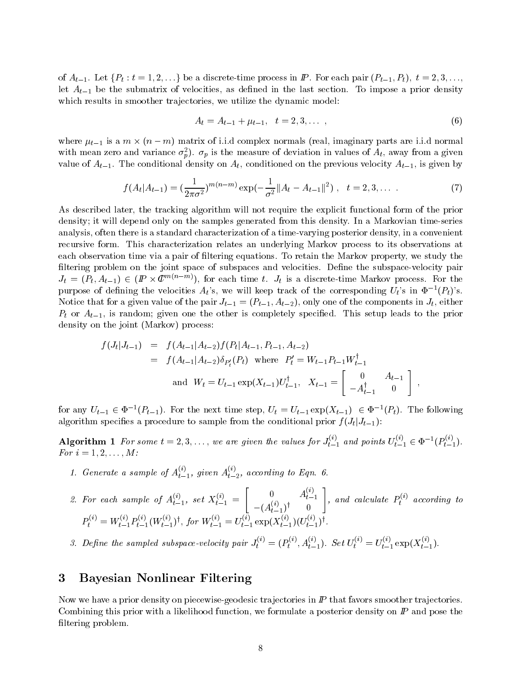of  $A_{t-1}$ . Let  $\{P_t : t = 1, 2, \ldots\}$  be a discrete-time process in  $\mathbb{P}$ . For each pair  $(P_{t-1}, P_t)$ ,  $t = 2, 3, \ldots$ , let  $A_{t-1}$  be the submatrix of velocities, as defined in the last section. To impose a prior density which results in smoother trajectories, we utilize the dynamic model:

$$
A_t = A_{t-1} + \mu_{t-1}, \quad t = 2, 3, \dots \tag{6}
$$

where  $\mu_{t-1}$  is a  $m \times (n-m)$  matrix of i.i.d complex normals (real, imaginary parts are i.i.d normal with mean zero and variance  $\sigma_p$ ).  $\sigma_p$  is the measure of deviation in values of  $A_t$ , away from a given value of  $A_{t-1}$ . The conditional density on  $A_t$ , conditioned on the previous velocity  $A_{t-1}$ , is given by

$$
f(A_t|A_{t-1}) = \left(\frac{1}{2\pi\sigma^2}\right)^{m(n-m)} \exp\left(-\frac{1}{\sigma^2} \|A_t - A_{t-1}\|^2\right), \quad t = 2, 3, \dots \tag{7}
$$

As described later, the tracking algorithm will not require the explicit functional form of the prior density; it will depend only on the samples generated from this density. In a Markovian time-series analysis, often there is a standard characterization of a time-varying posterior density, in a convenient recursive form. This characterization relates an underlying Markov process to its observations at each observation time via a pair of ltering equations. To retain the Markov property, we study the filtering problem on the joint space of subspaces and velocities. Define the subspace-velocity pair  $J_t = (P_t, A_{t-1}) \in (I\!\!P \times I\!\!C^{m(n-m)})$ , for each time t.  $J_t$  is a discrete-time Markov process. For the purpose of defining the velocities  $A_t$ 's, we will keep track of the corresponding  $U_t$ 's in  $\Phi^{-1}(P_t)$ 's. Notice that for a given value of the pair  $J_{t-1} = (P_{t-1}, A_{t-2})$ , only one of the components in  $J_t$ , either  $P_t$  or  $A_{t-1}$ , is random; given one the other is completely specified. This setup leads to the prior density on the joint (Markov) process:

$$
f(J_t|J_{t-1}) = f(A_{t-1}|A_{t-2})f(P_t|A_{t-1}, P_{t-1}, A_{t-2})
$$
  
=  $f(A_{t-1}|A_{t-2})\delta_{P'_t}(P_t)$  where  $P'_t = W_{t-1}P_{t-1}W^{\dagger}_{t-1}$   
and  $W_t = U_{t-1} \exp(X_{t-1})U^{\dagger}_{t-1}, X_{t-1} = \begin{bmatrix} 0 & A_{t-1} \\ -A_{t-1}^{\dagger} & 0 \end{bmatrix}$ ,

for any  $U_{t-1} \in \Phi^{-1}(P_{t-1})$ . For the next time step,  $U_t = U_{t-1} \exp(\chi_{t-1}) \in \Phi^{-1}(P_t)$ . The following algorithm specifies a procedure to sample from the conditional prior  $f(J_t|J_{t-1})$ :

**Algorithm 1** For some  $t = 2, 3, \ldots$ , we are given the values for  $J_{t-1}^{(1)}$  and points  $U_{t-1}^{(2)} \in \Phi^{-1}(P_{t-1}^{(2)})$ . For  $i = 1, 2, \ldots, M$ :

- 1. Generate a sample of  $A_{t-1}^{, given  $A_{t-2}^{, according to Eqn. 6.$$
- 2. For each sample of  $A_{t-1}^{\prime\prime}$ , set  $X_{t-1}^{\prime\prime} = \begin{bmatrix} 1 & 0 & 0 \\ 0 & 0 & 1 \end{bmatrix}$  $\left[\begin{array}{cc} 0 & A_{t-1}^{(i)} \\ -(A_{t-1}^{(i)})^{\dagger} & 0 \end{array}\right]$ , and ca , and calculate  $P_t^{\leftrightarrow}$  according to  $P_t^{(0)} = W_{t-1}^{(0)} P_{t-1}^{(0)} (W_{t-1}^{(0)})^t$ , for  $W_{t-1}^{(0)} = U_{t-1}^{(0)} \exp(X_{t-1}^{(0)}) (U_{t-1}^{(0)})^t$ .
- 3. Define the sampled subspace-velocity pair  $J_t^{(+)} = (P_t^{(+)}, A_{t-1}^{(+)})$ . Set  $U_t^{(+)} = U_{t-1}^{(+)} \exp(X_{t-1}^{(+)})$ .

#### 3 **Bayesian Nonlinear Filtering**

Now we have a prior density on piecewise-geodesic trajectories in  $I\!\!P$  that favors smoother trajectories. Combining this prior with a likelihood function, we formulate a posterior density on  $\mathbb P$  and pose the filtering problem.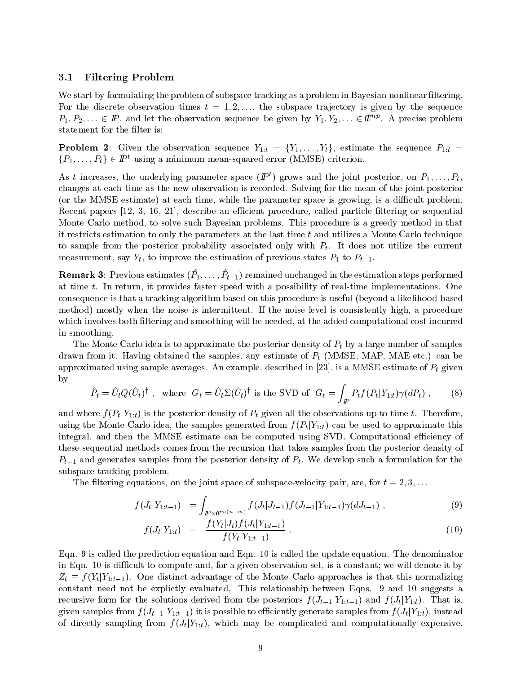#### Filtering Problem  $3.1$

We start by formulating the problem of subspace tracking as a problem in Bayesian nonlinear filtering. For the discrete observation times  $t = 1, 2, \ldots$ , the subspace trajectory is given by the sequence  $P_1, P_2, \ldots \in I\!\!P$ , and let the observation sequence be given by  $Y_1, Y_2, \ldots \in I\!\!U^{n}$ . A precise problem statement for the filter is:

**Problem 2:** Given the observation sequence  $Y_{1:t} = \{Y_1, \ldots, Y_t\}$ , estimate the sequence  $P_{1:t}$  $\{P_1,\ldots,P_t\} \in \mathbb{P}^t$  using a minimum mean-squared error (MMSE) criterion.

As t increases, the underlying parameter space  $(I\!\!P^t)$  grows and the joint posterior, on  $P_1,\ldots,P_t$ changes at each time as the new observation is recorded. Solving for the mean of the joint posterior (or the MMSE estimate) at each time, while the parameter space is growing, is a difficult problem. Recent papers  $[12, 3, 16, 21]$ , describe an efficient procedure, called particle filtering or sequential Monte Carlo method, to solve such Bayesian problems. This procedure is a greedy method in that it restricts estimation to only the parameters at the last time  $t$  and utilizes a Monte Carlo technique to sample from the posterior probability associated only with  $P_t$ . It does not utilize the current measurement, say  $Y_t$ , to improve the estimation of previous states  $P_1$  to  $P_{t-1}$ .

**Tremark 3:** Trevious estimates  $\{P_1, \ldots, P_{t-1}\}$  remained unchanged in the estimation steps performed at time t. In return, it provides faster speed with a possibility of real-time implementations. One consequence is that a tracking algorithm based on this procedure is useful (beyond a likelihood-based method) mostly when the noise is intermittent. If the noise level is consistently high, a procedure which involves both filtering and smoothing will be needed, at the added computational cost incurred in smoothing.

The Monte Carlo idea is to approximate the posterior density of  $P_t$  by a large number of samples drawn from it. Having obtained the samples, any estimate of  $P_t$  (MMSE, MAP, MAE etc.) can be approximated using sample averages. An example, described in [23], is a MMSE estimate of  $P_t$  given by

$$
\hat{P}_t = \hat{U}_t Q(\hat{U}_t)^{\dagger} , \text{ where } G_t = \hat{U}_t \Sigma (\hat{U}_t)^{\dagger} \text{ is the SVD of } G_t = \int_{I\!\!P} P_t f(P_t|Y_{1:t}) \gamma(dP_t) , \qquad (8)
$$

and where  $f(P_t|Y_{1:t})$  is the posterior density of  $P_t$  given all the observations up to time t. Therefore, using the Monte Carlo idea, the samples generated from  $f(P_t|Y_{1:t})$  can be used to approximate this integral, and then the MMSE estimate can be computed using SVD. Computational efficiency of these sequential methods comes from the recursion that takes samples from the posterior density of  $P_{t-1}$  and generates samples from the posterior density of  $P_t$ . We develop such a formulation for the subspace tracking problem.

The filtering equations, on the joint space of subspace-velocity pair, are, for  $t = 2, 3, \ldots$ 

$$
f(J_t|Y_{1:t-1}) = \int_{I\!\!P \times \mathcal{C}^{m(n-m)}} f(J_t|J_{t-1}) f(J_{t-1}|Y_{1:t-1}) \gamma(dJ_{t-1}), \qquad (9)
$$

$$
f(J_t|Y_{1:t}) = \frac{f(Y_t|J_t)f(J_t|Y_{1:t-1})}{f(Y_t|Y_{1:t-1})}.
$$
\n
$$
(10)
$$

Eqn. 9 is called the prediction equation and Eqn. 10 is called the update equation. The denominator in Eqn. 10 is difficult to compute and, for a given observation set, is a constant; we will denote it by  $Z_t \equiv f(Y_t|Y_{1:t-1})$ . One distinct advantage of the Monte Carlo approaches is that this normalizing constant need not be explictly evaluated. This relationship between Eqns. 9 and 10 suggests a recursive form for the solutions derived from the posteriors  $f(J_{t-1}|Y_{1:t-1})$  and  $f(J_t|Y_{1:t})$ . That is, given samples from  $f(J_{t-1}|Y_{1:t-1})$  it is possible to efficiently generate samples from  $f(J_t|Y_{1:t})$ , instead of directly sampling from  $f(J_t|Y_{1:t})$ , which may be complicated and computationally expensive.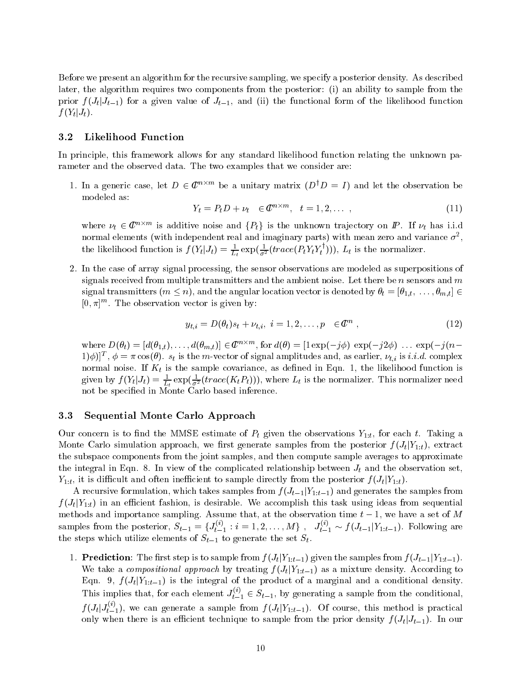Before we present an algorithm for the recursive sampling, we specify a posterior density. As described later, the algorithm requires two components from the posterior: (i) an ability to sample from the prior  $f(J_t|J_{t-1})$  for a given value of  $J_{t-1}$ , and (ii) the functional form of the likelihood function  $f(Y_t|J_t)$ .

### 3.2 Likelihood Function

In principle, this framework allows for any standard likelihood function relating the unknown parameter and the observed data. The two examples that we consider are:

1. In a generic case, let  $D \in \mathbb{C}^{n \times m}$  be a unitary matrix  $(D^{\dagger}D = I)$  and let the observation be modeled as:

$$
Y_t = P_t D + \nu_t \quad \in \mathbb{C}^{n \times m}, \quad t = 1, 2, \dots \tag{11}
$$

where  $\nu_t \in \mathbb{C}^{n \times m}$  is additive noise and  $\{P_t\}$  is the unknown trajectory on  $I\!\!P$ . If  $\nu_t$  has i.i.d normal elements (with independent real and imaginary parts) with mean zero and variance  $\sigma^2$ , the likelihood function is  $f(Y_t|J_t) = \frac{1}{L_t} \exp(\frac{1}{\sigma^2}(trace(P_t Y_t Y_t^+))), L_t$  is the normalizer.

2. In the case of array signal processing, the sensor observations are modeled as superpositions of signals received from multiple transmitters and the ambient noise. Let there be n sensors and  $m$ signal transmitters  $(m \leq n)$ , and the angular location vector is denoted by  $\theta_t = [\theta_{1,t}, \ldots, \theta_{m,t}] \in$  $[0, \pi]$ . The observation vector is given by:

$$
y_{t,i} = D(\theta_t)s_t + \nu_{t,i}, \ i = 1, 2, \dots, p \in \mathbb{C}^n , \tag{12}
$$

where  $D(\theta_t) = |d(\theta_{1,t}),\ldots,d(\theta_{m,t})| \in \mathbb{C}^{n \times m}$ , for  $d(\theta) = |\log(p(-j\phi)| \exp(-j2\phi) \ldots \exp(-j(n-\theta_{m,t}))|$  $[1/\varphi)]^+$ ,  $\varphi = \pi \cos(\vartheta)$ .  $s_t$  is the m-vector of signal amplitudes and, as earlier,  $\nu_{t,i}$  is  $i.i.a.$  complex normal noise. If  $K_t$  is the sample covariance, as defined in Eqn. 1, the likelihood function is given by  $f(Y_t|J_t) = \frac{1}{L_t} \exp(\frac{1}{\sigma^2}(trace(K_t P_t))),$  where  $L_t$  is the normalizer. This normalizer need not be specied in Monte Carlo based inference.

### 3.3 Sequential Monte Carlo Approach

Our concern is to find the MMSE estimate of  $P_t$  given the observations  $Y_{1:t}$ , for each t. Taking a Monte Carlo simulation approach, we first generate samples from the posterior  $f(J_t|Y_{1:t})$ , extract the subspace components from the joint samples, and then compute sample averages to approximate the integral in Eqn. 8. In view of the complicated relationship between  $J_t$  and the observation set,  $Y_{1:t}$ , it is difficult and often inefficient to sample directly from the posterior  $f(J_t|Y_{1:t})$ .

A recursive formulation, which takes samples from  $f(J_{t-1}|Y_{1:t-1})$  and generates the samples from  $f(J_t|Y_{1:t})$  in an efficient fashion, is desirable. We accomplish this task using ideas from sequential methods and importance sampling. Assume that, at the observation time  $t-1$ , we have a set of M samples from the posterior,  $S_{t-1} = \{J_{t-1}^{(i)} : i = 1, 2, ..., M\}$ ,  $J_{t-1}^{(i)} \sim f(J_{t-1}|Y_{1:t-1})$ . Following are the steps which utilize elements of  $S_{t-1}$  to generate the set  $S_t$ .

1. **Prediction**: The first step is to sample from  $f(J_t|Y_{1:t-1})$  given the samples from  $f(J_{t-1}|Y_{1:t-1})$ . We take a *compositional approach* by treating  $f(J_t|Y_{1:t-1})$  as a mixture density. According to Eqn. 9,  $f(J_t|Y_{1:t-1})$  is the integral of the product of a marginal and a conditional density. This implies that, for each element  $J_{t-1}^{\infty} \in S_{t-1}$ , by generating a sample from the conditional,  $f(J_t|J_{t-1}^{(t)})$ , we can generate a sample from  $f(J_t|Y_{1:t-1})$ . Of course, this method is practical only when there is an efficient technique to sample from the prior density  $f(J_t|J_{t-1})$ . In our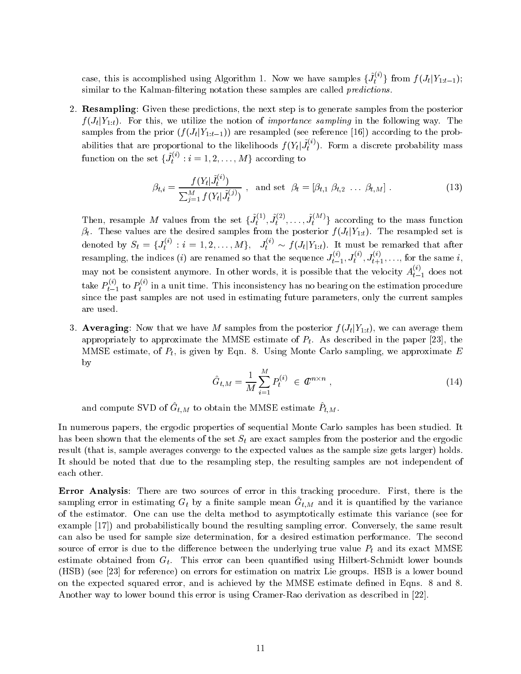case, this is accomplished using Algorithm 1. Now we have samples  $\{J_t^{(i)}\}$  from  $f(J_t|Y_{1:t-1});$ similar to the Kalman-filtering notation these samples are called *predictions*.

2. Resampling: Given these predictions, the next step is to generate samples from the posterior  $f(J_t|Y_{1:t})$ . For this, we utilize the notion of *importance sampling* in the following way. The samples from the prior  $(f(J_t|Y_{1:t-1}))$  are resampled (see reference [16]) according to the probabilities that are proportional to the likelihoods  $f(Y_t|J_t^{(i)})$ . Form a discrete probability mass function on the set  $\{J_t^{(i)}: i=1,2,\ldots,M\}$  according to

$$
\beta_{t,i} = \frac{f(Y_t|\tilde{J}_t^{(i)})}{\sum_{j=1}^M f(Y_t|\tilde{J}_t^{(j)})}, \text{ and set } \beta_t = [\beta_{t,1} \ \beta_{t,2} \ \dots \ \beta_{t,M}]. \tag{13}
$$

Then, resample M values from the set  $\{J_t^{(1)}, J_t^{(2)}, \ldots, J_t^{(M)}\}$  according to the mass function  $\beta_t$ . These values are the desired samples from the posterior  $f(J_t|Y_{1:t})$ . The resampled set is denoted by  $S_t = \{J_t^{(i)} : i = 1\}$  $t_i^{(i)}$ :  $i = 1, 2, \ldots, M$ ,  $J_t^{(i)} \sim f(J_t|Y_{1:t})$ . It must be remarked that after resampling, the indices (*i*) are renamed so that the sequence  $J_{t-1}^{s}$ ,  $J_t^{s+1}$ ,  $J_{t+1}^{t+1}$ , ..., for the same *i*, may not be consistent anymore. In other words, it is possible that the velocity  $A^{i-1}_{t-1}$  does not take  $P_{t-1}^{\vee\vee}$  to  $P_t^{\vee\vee}$  in a unit time. This inconsistency has no bearing on the estimation procedure since the past samples are not used in estimating future parameters, only the current samples are used.

3. Averaging: Now that we have M samples from the posterior  $f(J_t|Y_{1:t})$ , we can average them appropriately to approximate the MMSE estimate of  $P_t$ . As described in the paper [23], the MMSE estimate, of  $P_t$ , is given by Eqn. 8. Using Monte Carlo sampling, we approximate E by

$$
\hat{G}_{t,M} = \frac{1}{M} \sum_{i=1}^{M} P_t^{(i)} \in \mathcal{C}^{n \times n} , \qquad (14)
$$

and compute SVD of  $\mathbf{G}^t_{t,M}$  to obtain the MNSE estimate  $P^t_{t,M}$ .

In numerous papers, the ergodic properties of sequential Monte Carlo samples has been studied. It has been shown that the elements of the set  $S_t$  are exact samples from the posterior and the ergodic result (that is, sample averages converge to the expected values as the sample size gets larger) holds. It should be noted that due to the resampling step, the resulting samples are not independent of each other.

Error Analysis: There are two sources of error in this tracking procedure. First, there is the sampling error in estimating  $\alpha_t$  by a nifite sample mean  $\alpha_{t,M}$  and it is quantified by the variance of the estimator. One can use the delta method to asymptotically estimate this variance (see for example [17]) and probabilistically bound the resulting sampling error. Conversely, the same result can also be used for sample size determination, for a desired estimation performance. The second source of error is due to the difference between the underlying true value  $P_t$  and its exact MMSE estimate obtained from  $G_t$ . This error can been quantified using Hilbert-Schmidt lower bounds (HSB) (see [23] for reference) on errors for estimation on matrix Lie groups. HSB is a lower bound on the expected squared error, and is achieved by the MMSE estimate defined in Eqns. 8 and 8. Another way to lower bound this error is using Cramer-Rao derivation as described in [22].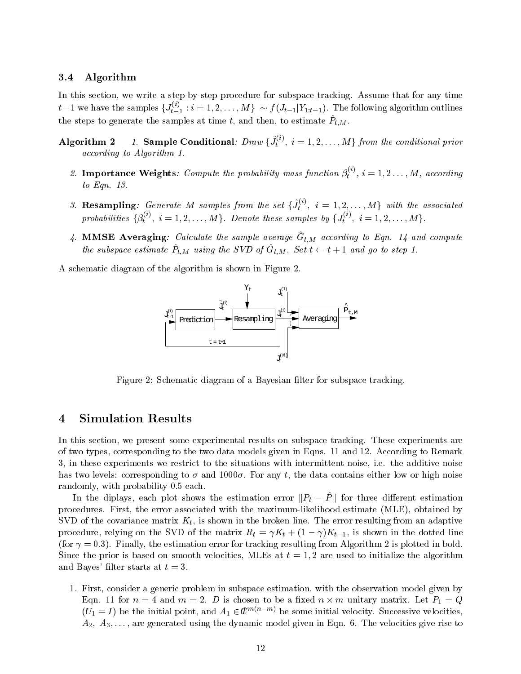### 3.4 Algorithm

In this section, we write a step-by-step procedure for subspace tracking. Assume that for any time  $t-1$  we have the samples  $\{J_{t-1}^{(i)} : i=1,2,\ldots,M\} \ \sim f(J_{t-1}|Y_{1:t-1})$ . The following algorithm outlines the steps to generate the samples at time  $t$ , and then, to estimate  $T_{t,M}$ .

- Algorithm 2 1. Sample Conditional: Draw  $\{J_t^{(i)}, i = 1, 2, ..., M\}$  from the conditional prior according to Algorithm 1.
	- 2. Importance Weights: Compute the probability mass function  $\beta_t^{\vee}$ ,  $i = 1, 2 \ldots, M$ , according to Eqn. 13.
	- 3. **Resampling**: Generate M samples from the set  $\{J_t^{(i)}, i = 1, 2, ..., M\}$  with the associated probabilities  $\{\beta_t^{(i)}, i=1,$  $t^{(i)}_t, i=1,2,\ldots,M\}$ . Denote these samples by  $\{J_t^{(i)}, i=1\}$  $t_i^{(i)}, i = 1, 2, \ldots, M$ .
	- 4. **MIMSE Averaging**. Calculate the sample average  $G^t_{t,M}$  according to Eqn. 14 and compute the subspace estimate  $P_{t,M}$  using the SVD of  $G_{t,M}$ . Set  $t \leftarrow t + 1$  and go to step 1.

A schematic diagram of the algorithm is shown in Figure 2.



Figure 2: Schematic diagram of a Bayesian filter for subspace tracking.

## 4 Simulation Results

In this section, we present some experimental results on subspace tracking. These experiments are of two types, corresponding to the two data models given in Eqns. 11 and 12. According to Remark 3, in these experiments we restrict to the situations with intermittent noise, i.e. the additive noise has two levels: corresponding to  $\sigma$  and 1000 $\sigma$ . For any t, the data contains either low or high noise randomly, with probability 0.5 each.

In the diplays, each plot shows the estimation error  $||P_t - P||$  for three different estimation procedures. First, the error associated with the maximum-likelihood estimate (MLE), obtained by SVD of the covariance matrix  $K_t$ , is shown in the broken line. The error resulting from an adaptive procedure, relying on the SVD of the matrix  $R_t = \gamma K_t + (1 - \gamma)K_{t-1}$ , is shown in the dotted line (for  $\gamma = 0.3$ ). Finally, the estimation error for tracking resulting from Algorithm 2 is plotted in bold. Since the prior is based on smooth velocities, MLEs at  $t = 1, 2$  are used to initialize the algorithm and Bayes' filter starts at  $t=3$ .

1. First, consider a generic problem in subspace estimation, with the observation model given by Eqn. 11 for  $n = 4$  and  $m = 2$ . D is chosen to be a fixed  $n \times m$  unitary matrix. Let  $P_1 = Q$  $(U_1 = I)$  be the initial point, and  $A_1 \in \mathbb{C}^{m(n-m)}$  be some initial velocity. Successive velocities,  $A_2, A_3, \ldots$ , are generated using the dynamic model given in Eqn. 6. The velocities give rise to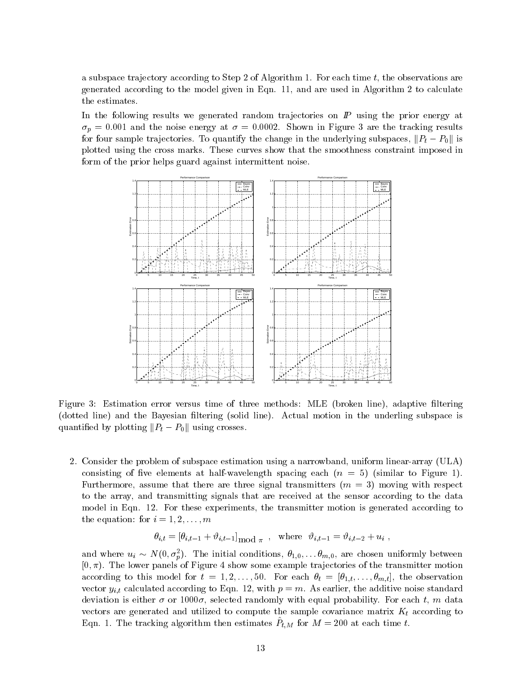a subspace trajectory according to Step 2 of Algorithm 1. For each time  $t$ , the observations are generated according to the model given in Eqn. 11, and are used in Algorithm 2 to calculate the estimates.

In the following results we generated random trajectories on  $\mathbb{P}$  using the prior energy at  $\sigma_p = 0.001$  and the noise energy at  $\sigma = 0.0002$ . Shown in Figure 3 are the tracking results for four sample trajectories. To quantify the change in the underlying subspaces,  $||P_t - P_0||$  is plotted using the cross marks. These curves show that the smoothness constraint imposed in form of the prior helps guard against intermittent noise.



Figure 3: Estimation error versus time of three methods: MLE (broken line), adaptive filtering (dotted line) and the Bayesian filtering (solid line). Actual motion in the underling subspace is quantified by plotting  $||P_t - P_0||$  using crosses.

2. Consider the problem of subspace estimation using a narrowband, uniform linear-array (ULA) consisting of five elements at half-wavelength spacing each  $(n = 5)$  (similar to Figure 1). Furthermore, assume that there are three signal transmitters  $(m = 3)$  moving with respect to the array, and transmitting signals that are received at the sensor according to the data model in Eqn. 12. For these experiments, the transmitter motion is generated according to the equation: for  $i = 1, 2, \ldots, m$ 

$$
\theta_{i,t} = \left[\theta_{i,t-1} + \vartheta_{i,t-1}\right]_{\text{mod }\pi}, \text{ where } \vartheta_{i,t-1} = \vartheta_{i,t-2} + u_i,
$$

and where  $u_i \sim N(0, \sigma_p)$ . The initial conditions,  $\sigma_{1,0}, \ldots \sigma_{m,0}$ , are chosen uniformly between  $[0, \pi)$ . The lower panels of Figure 4 show some example trajectories of the transmitter motion according to this model for  $t = 1, 2, \ldots, 50$ . For each  $\theta_t = [\theta_{1,t}, \ldots, \theta_{m,t}]$ , the observation vector  $y_{i,t}$  calculated according to Eqn. 12, with  $p = m$ . As earlier, the additive noise standard deviation is either  $\sigma$  or 1000 $\sigma$ , selected randomly with equal probability. For each t, m data vectors are generated and utilized to compute the sample covariance matrix  $K_t$  according to Eqn. 1. The tracking algorithm then estimates  $I_{t,M}$  for  $M = 200$  at each time t.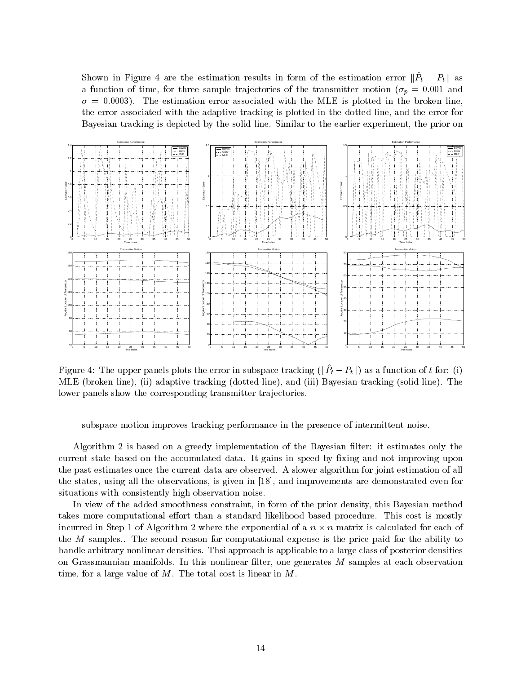Shown in Figure 4 are the estimation results in form of the estimation error  $\|P_t - P_t\|$  as a function of time, for three sample trajectories of the transmitter motion ( $\sigma_p = 0.001$  and  $\sigma = 0.0003$ . The estimation error associated with the MLE is plotted in the broken line, the error associated with the adaptive tracking is plotted in the dotted line, and the error for Bayesian tracking is depicted by the solid line. Similar to the earlier experiment, the prior on



Figure 4: The upper panels plots the error in subspace tracking  $(\|P_t-P_t\|)$  as a function of  $t$  for: (i) MLE (broken line), (ii) adaptive tracking (dotted line), and (iii) Bayesian tracking (solid line). The lower panels show the corresponding transmitter trajectories.

subspace motion improves tracking performance in the presence of intermittent noise.

Algorithm 2 is based on a greedy implementation of the Bayesian filter: it estimates only the current state based on the accumulated data. It gains in speed by fixing and not improving upon the past estimates once the current data are observed. A slower algorithm for joint estimation of all the states, using all the observations, is given in [18], and improvements are demonstrated even for situations with consistently high observation noise.

In view of the added smoothness constraint, in form of the prior density, this Bayesian method takes more computational effort than a standard likelihood based procedure. This cost is mostly incurred in Step 1 of Algorithm 2 where the exponential of a  $n \times n$  matrix is calculated for each of the  $M$  samples.. The second reason for computational expense is the price paid for the ability to handle arbitrary nonlinear densities. Thsi approach is applicable to a large class of posterior densities on Grassmannian manifolds. In this nonlinear filter, one generates  $M$  samples at each observation time, for a large value of  $M$ . The total cost is linear in  $M$ .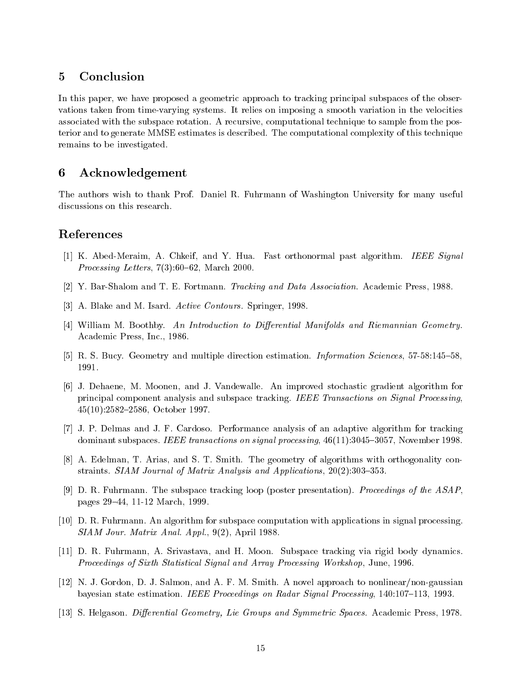#### **Conclusion**  $\mathbf{5}$

In this paper, we have proposed a geometric approach to tracking principal subspaces of the observations taken from time-varying systems. It relies on imposing a smooth variation in the velocities associated with the subspace rotation. A recursive, computational technique to sample from the posterior and to generate MMSE estimates is described. The computational complexity of this technique remains to be investigated.

## 6 Acknowledgement

The authors wish to thank Prof. Daniel R. Fuhrmann of Washington University for many useful discussions on this research.

## References

- [1] K. Abed-Meraim, A. Chkeif, and Y. Hua. Fast orthonormal past algorithm. IEEE Signal *Processing Letters*,  $7(3):60-62$ , March 2000.
- [2] Y. Bar-Shalom and T. E. Fortmann. Tracking and Data Association. Academic Press, 1988.
- [3] A. Blake and M. Isard. Active Contours. Springer, 1998.
- [4] William M. Boothby. An Introduction to Differential Manifolds and Riemannian Geometry. Academic Press, Inc., 1986.
- [5] R. S. Bucy. Geometry and multiple direction estimation. *Information Sciences*, 57-58:145–58, 1991.
- [6] J. Dehaene, M. Moonen, and J. Vandewalle. An improved stochastic gradient algorithm for principal component analysis and subspace tracking. IEEE Transactions on Signal Processing, 45(10):2582-2586, October 1997.
- [7] J. P. Delmas and J. F. Cardoso. Performance analysis of an adaptive algorithm for tracking dominant subspaces. IEEE transactions on signal processing,  $46(11):3045{-}3057$ , November 1998.
- [8] A. Edelman, T. Arias, and S. T. Smith. The geometry of algorithms with orthogonality constraints. SIAM Journal of Matrix Analysis and Applications,  $20(2):303-353$ .
- [9] D. R. Fuhrmann. The subspace tracking loop (poster presentation). Proceedings of the ASAP, pages 29–44, 11-12 March, 1999.
- [10] D. R. Fuhrmann. An algorithm for subspace computation with applications in signal processing. SIAM Jour. Matrix Anal. Appl., 9(2), April 1988.
- [11] D. R. Fuhrmann, A. Srivastava, and H. Moon. Subspace tracking via rigid body dynamics. Proceedings of Sixth Statistical Signal and Array Processing Workshop, June, 1996.
- [12] N. J. Gordon, D. J. Salmon, and A. F. M. Smith. A novel approach to nonlinear/non-gaussian bayesian state estimation. IEEE Proceedings on Radar Signal Processing, 140:107-113, 1993.
- [13] S. Helgason. Differential Geometry, Lie Groups and Symmetric Spaces. Academic Press, 1978.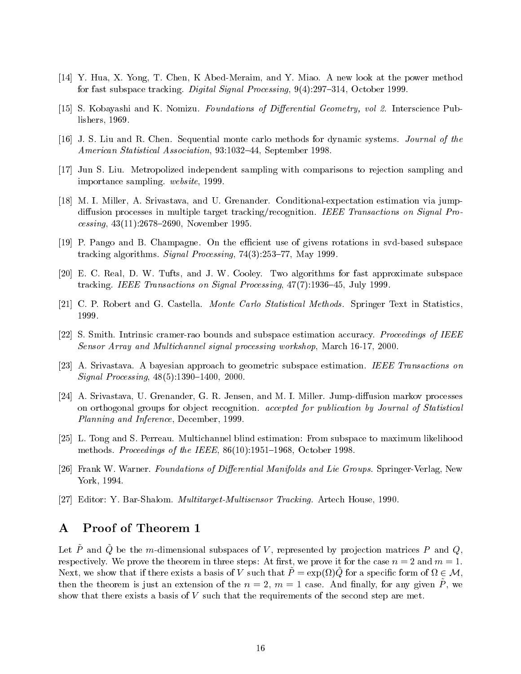- [14] Y. Hua, X. Yong, T. Chen, K Abed-Meraim, and Y. Miao. A new look at the power method for fast subspace tracking. Digital Signal Processing,  $9(4):297-314$ , October 1999.
- [15] S. Kobayashi and K. Nomizu. Foundations of Differential Geometry, vol 2. Interscience Publishers, 1969.
- [16] J. S. Liu and R. Chen. Sequential monte carlo methods for dynamic systems. Journal of the American Statistical Association, 93:1032-44, September 1998.
- [17] Jun S. Liu. Metropolized independent sampling with comparisons to rejection sampling and importance sampling. website, 1999.
- [18] M. I. Miller, A. Srivastava, and U. Grenander. Conditional-expectation estimation via jumpdiffusion processes in multiple target tracking/recognition. IEEE Transactions on Signal Processing,  $43(11):2678{-}2690$ , November 1995.
- [19] P. Pango and B. Champagne. On the efficient use of givens rotations in svd-based subspace tracking algorithms. Signal Processing,  $74(3):253-77$ , May 1999.
- [20] E. C. Real, D. W. Tufts, and J. W. Cooley. Two algorithms for fast approximate subspace tracking. IEEE Transactions on Signal Processing,  $47(7):1936-45$ , July 1999.
- [21] C. P. Robert and G. Castella. Monte Carlo Statistical Methods. Springer Text in Statistics, 1999.
- [22] S. Smith. Intrinsic cramer-rao bounds and subspace estimation accuracy. Proceedings of IEEE Sensor Array and Multichannel signal processing workshop, March 16-17, 2000.
- [23] A. Srivastava. A bayesian approach to geometric subspace estimation. IEEE Transactions on  $Signal \ Processing, 48(5):1390–1400, 2000.$
- [24] A. Srivastava, U. Grenander, G. R. Jensen, and M. I. Miller. Jump-diffusion markov processes on orthogonal groups for object recognition. accepted for publication by Journal of Statistical Planning and Inference, December, 1999.
- [25] L. Tong and S. Perreau. Multichannel blind estimation: From subspace to maximum likelihood methods. Proceedings of the IEEE,  $86(10):1951-1968$ , October 1998.
- [26] Frank W. Warner. Foundations of Differential Manifolds and Lie Groups. Springer-Verlag, New York, 1994.
- [27] Editor: Y. Bar-Shalom. Multitarget-Multisensor Tracking. Artech House, 1990.

## A Proof of Theorem 1

Let P~and  $\mathbb Q$  be the m-dimensional subspaces of V, represented by projection matrices P and  $\mathbb Q$ , respectively. We prove the theorem in three steps: At first, we prove it for the case  $n = 2$  and  $m = 1$ . Next, we show that if there exists a basis of V such that  $P = \exp(\Omega)Q$  for a specific form of  $\Omega \in \mathcal{M}$ , then the theorem is just an extension of the  $n = 2$ ,  $m = 1$  case. And many, for any given  $T$ , we show that there exists a basis of V such that the requirements of the second step are met.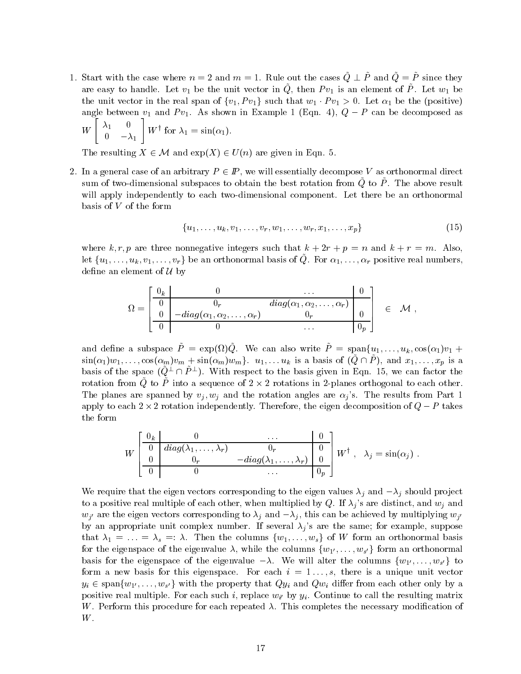1. Start with the case where  $n = 2$  and  $m = 1$ . Rule out the cases  $Q \perp P$  and  $Q = P$  since they are easy to handle. Let  $v_1$  be the unit vector in  $Q$ , then  $I$   $v_1$  is an element or  $I$ . Let  $w_1$  be the unit vector in the real span of  $\{v_1, Pv_1\}$  such that  $w_1 \cdot Pv_1 > 0$ . Let  $\alpha_1$  be the (positive) angle between  $v_1$  and  $P v_1$ . As shown in Example 1 (Eqn. 4),  $Q - P$  can be decomposed as 1 - 11/1

$$
W\left[\begin{array}{cc} \lambda_1 & 0 \\ 0 & -\lambda_1 \end{array}\right] W^{\dagger} \text{ for } \lambda_1 = \sin(\alpha_1).
$$

The resulting  $X \in \mathcal{M}$  and  $exp(X) \in U(n)$  are given in Eqn. 5.

2. In a general case of an arbitrary  $P \in \mathbb{P}$ , we will essentially decompose V as orthonormal direct sum of two-dimensional subspaces to obtain the best rotation from  $Q$  to  $I$ . The above result will apply independently to each two-dimensional component. Let there be an orthonormal basis of V of the form

$$
\{u_1,\ldots,u_k,v_1,\ldots,v_r,w_1,\ldots,w_r,x_1,\ldots,x_p\} \hspace{2cm} (15)
$$

where k, r, p are three nonnegative integers such that  $k + 2r + p = n$  and  $k + r = m$ . Also, let  $\{u_1,\ldots,u_k,v_1,\ldots,v_r\}$  be an orthonormal basis of  $Q.$  For  $\alpha_1,\ldots,\alpha_r$  positive real numbers, define an element of  $\mathcal U$  by

$$
\Omega = \begin{bmatrix} \begin{array}{c|c} 0_k & 0 & \cdots & 0 \\ \hline 0 & 0_r & diag(\alpha_1, \alpha_2, \ldots, \alpha_r) \\ \hline 0 & -diag(\alpha_1, \alpha_2, \ldots, \alpha_r) & 0_r & 0 \\ \hline 0 & 0 & \cdots & 0_p \end{array} \end{bmatrix} \hspace{.2cm} \in \hspace{.2cm} \mathcal{M} \,\, ,
$$

and define a subspace  $P = \exp(\Omega)Q$ . We can also write  $P = \text{span}\{u_1,\ldots,u_k,\cos(\alpha_1)v_1 + \cdots\}$  $\sin(\alpha_1)w_1,\ldots,\cos(\alpha_m)v_m + \sin(\alpha_m)w_m\}$ .  $u_1,\ldots u_k$  is a basis of  $(Q \cap P)$ , and  $x_1,\ldots,x_p$  is a basis of the space  $(\tilde{Q}^{\perp} \cap \tilde{P}^{\perp})$ . With respect to the basis given in Eqn. 15, we can factor the rotation from Q to P~into a sequence of 2  $\times$  2 rotations in 2-planes orthogonal to each other. The planes are spanned by  $v_j, w_j$  and the rotation angles are  $\alpha_j$ 's. The results from Part 1 apply to each 2  $\times$  2 rotation independently. Therefore, the eigen decomposition of  $Q-P$  takes the form

$$
W\begin{bmatrix} \mathbf{0}_k & 0 & \dots & \mathbf{0} \\ \hline 0 & diag(\lambda_1, \dots, \lambda_r) & 0_r & 0 \\ \hline 0 & 0 & -diag(\lambda_1, \dots, \lambda_r) & 0 \\ \hline 0 & 0 & \dots & 0 \end{bmatrix} W^\dagger \ , \quad \lambda_j = \sin(\alpha_j) \ .
$$

We require that the eigen vectors corresponding to the eigen values  $\lambda_j$  and  $-\lambda_j$  should project to a positive real multiple of each other, when multiplied by Q. If  $\lambda_j$ 's are distinct, and  $w_j$  and  $w_{i'}$  are the eigen vectors corresponding to  $\lambda_i$  and  $-\lambda_i$ , this can be achieved by multiplying  $w_{i'}$ by an appropriate unit complex number. If several  $\lambda_i$ 's are the same; for example, suppose that  $\lambda_1 = \ldots = \lambda_s =: \lambda$ . Then the columns  $\{w_1, \ldots, w_s\}$  of W form an orthonormal basis for the eigenspace of the eigenvalue  $\lambda$ , while the columns  $\{w_1, \ldots, w_{s'}\}$  form an orthonormal basis for the eigenspace of the eigenvalue  $-\lambda$ . We will alter the columns  $\{w_{1'},\ldots,w_{s'}\}$  to form a new basis for this eigenspace. For each  $i = 1, \ldots, s$ , there is a unique unit vector  $y_i \in \text{span}\{w_{1'},\ldots,w_{s'}\}$  with the property that  $Qy_i$  and  $Qw_i$  differ from each other only by a  $p$  by  $p$  for the real multiple. For each such i, replace with  $\alpha$  in  $\beta$  is continue to call the resulting matrix W. Perform this procedure for each repeated  $\lambda$ . This completes the necessary modification of W.